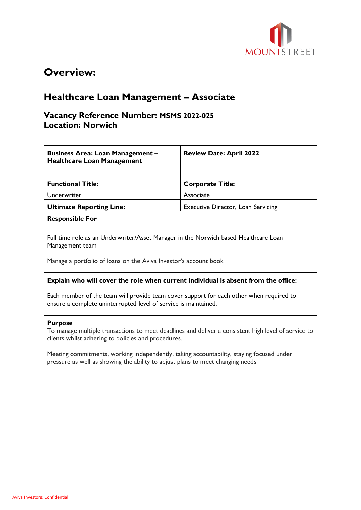

# **Overview:**

# **Healthcare Loan Management – Associate**

### **Vacancy Reference Number: MSMS 2022-025 Location: Norwich**

| <b>Business Area: Loan Management -</b><br><b>Healthcare Loan Management</b>                                                                                                 | <b>Review Date: April 2022</b>            |
|------------------------------------------------------------------------------------------------------------------------------------------------------------------------------|-------------------------------------------|
| <b>Functional Title:</b>                                                                                                                                                     | <b>Corporate Title:</b>                   |
| Underwriter                                                                                                                                                                  | Associate                                 |
| <b>Ultimate Reporting Line:</b>                                                                                                                                              | <b>Executive Director, Loan Servicing</b> |
| <b>Responsible For</b>                                                                                                                                                       |                                           |
| Full time role as an Underwriter/Asset Manager in the Norwich based Healthcare Loan<br>Management team<br>Manage a portfolio of loans on the Aviva Investor's account book   |                                           |
| Explain who will cover the role when current individual is absent from the office:                                                                                           |                                           |
| Each member of the team will provide team cover support for each other when required to<br>ensure a complete uninterrupted level of service is maintained.                   |                                           |
| <b>Purpose</b><br>To manage multiple transactions to meet deadlines and deliver a consistent high level of service to<br>clients whilst adhering to policies and procedures. |                                           |
| Meeting commitments, working independently, taking accountability, staying focused under<br>pressure as well as showing the ability to adjust plans to meet changing needs   |                                           |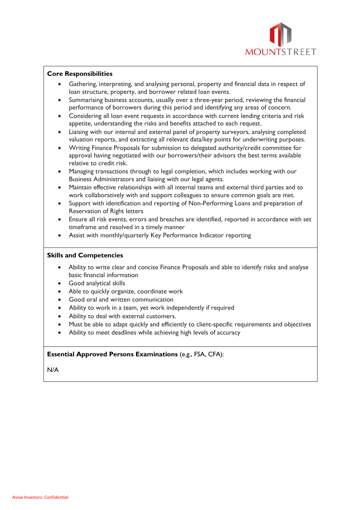

#### **Core Responsibilities**

- Gathering, interpreting, and analysing personal, property and financial data in respect of loan structure, property, and borrower related loan events.
- Summarising business accounts, usually over a three-year period, reviewing the financial performance of borrowers during this period and identifying any areas of concern.
- Considering all loan event requests in accordance with current lending criteria and risk appetite, understanding the risks and benefits attached to each request.
- Liaising with our internal and external panel of property surveyors, analysing completed valuation reports, and extracting all relevant data/key points for underwriting purposes.
- Writing Finance Proposals for submission to delegated authority/credit committee for approval having negotiated with our borrowers/their advisors the best terms available relative to credit risk.
- Managing transactions through to legal completion, which includes working with our Business Administrators and liaising with our legal agents.
- Maintain effective relationships with all internal teams and external third parties and to work collaboratively with and support colleagues to ensure common goals are met.
- Support with identification and reporting of Non-Performing Loans and preparation of Reservation of Right letters
- Ensure all risk events, errors and breaches are identified, reported in accordance with set timeframe and resolved in a timely manner
- Assist with monthly/quarterly Key Performance Indicator reporting

#### **Skills and Competencies**

- Ability to write clear and concise Finance Proposals and able to identify risks and analyse basic financial information
- Good analytical skills
- Able to quickly organize, coordinate work
- Good oral and written communication
- Ability to work in a team, yet work independently if required
- Ability to deal with external customers.
- Must be able to adapt quickly and efficiently to client-specific requirements and objectives
- Ability to meet deadlines while achieving high levels of accuracy

### **Essential Approved Persons Examinations** (e.g., FSA, CFA):

N/A